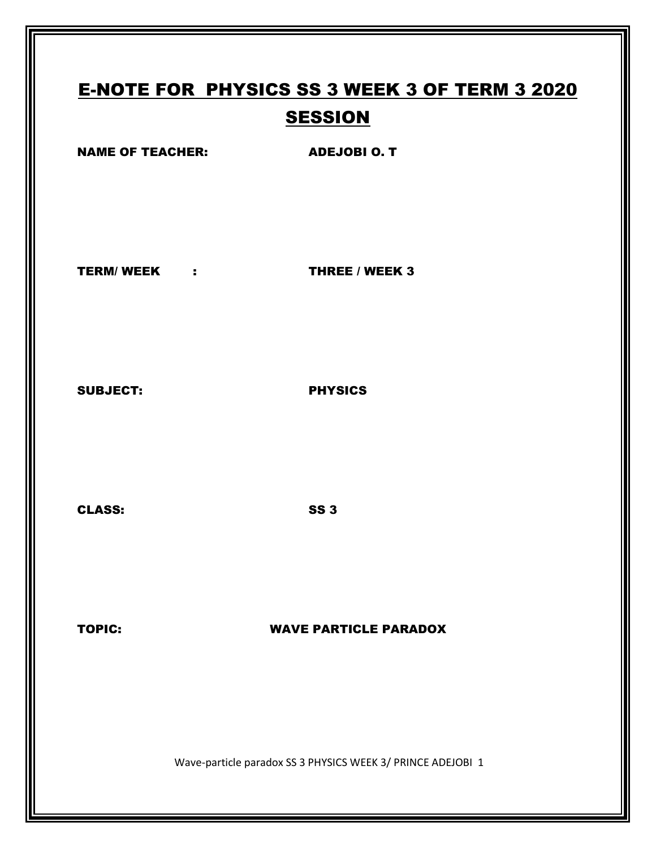# E-NOTE FOR PHYSICS SS 3 WEEK 3 OF TERM 3 2020 **SESSION** NAME OF TEACHER: ADEJOBI O. T TERM/ WEEK : THREE / WEEK 3 SUBJECT: PHYSICS CLASS: SS 3

### TOPIC: WAVE PARTICLE PARADOX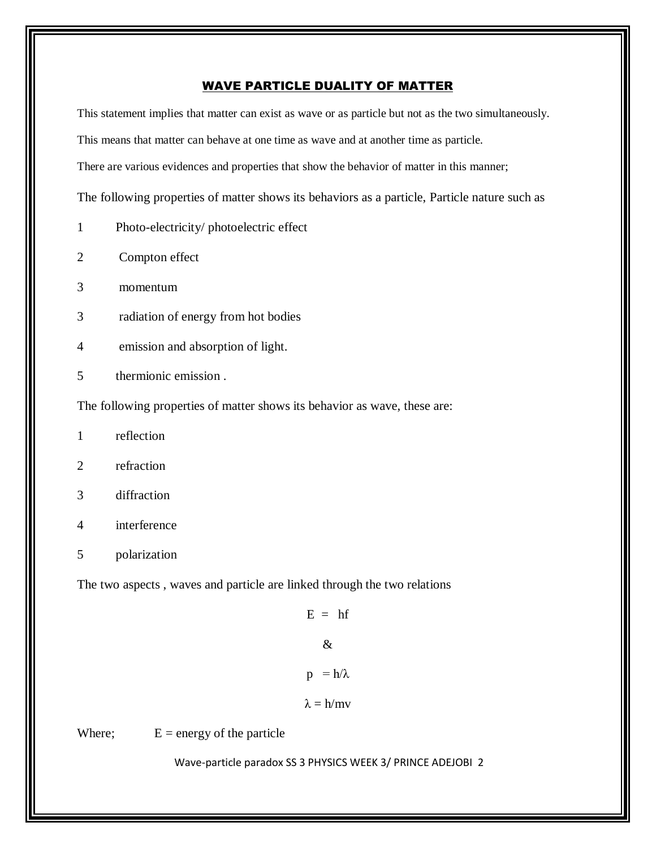### WAVE PARTICLE DUALITY OF MATTER

This statement implies that matter can exist as wave or as particle but not as the two simultaneously. This means that matter can behave at one time as wave and at another time as particle. There are various evidences and properties that show the behavior of matter in this manner; The following properties of matter shows its behaviors as a particle, Particle nature such as

- 1 Photo-electricity/ photoelectric effect
- 2 Compton effect
- 3 momentum
- 3 radiation of energy from hot bodies
- 4 emission and absorption of light.
- 5 thermionic emission .

The following properties of matter shows its behavior as wave, these are:

- 1 reflection
- 2 refraction
- 3 diffraction
- 4 interference
- 5 polarization

The two aspects , waves and particle are linked through the two relations

 $E = hf$ &  $p = h/\lambda$ 

 $λ = h/mv$ 

Where;  $E = energy of the particle$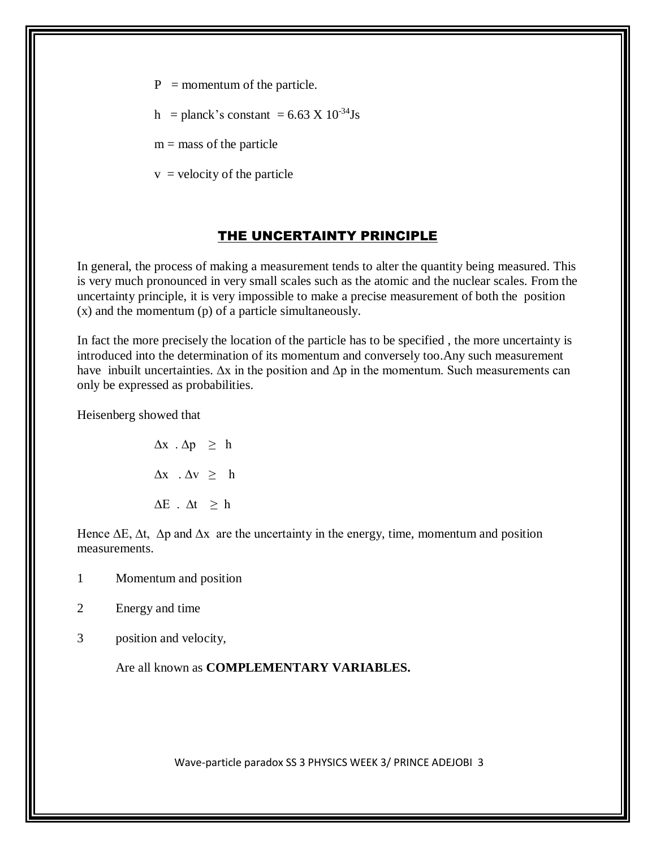- $P =$  momentum of the particle.
- h = planck's constant =  $6.63 \text{ X } 10^{-34} \text{Js}$

 $m =$  mass of the particle

 $v =$  velocity of the particle

# THE UNCERTAINTY PRINCIPLE

In general, the process of making a measurement tends to alter the quantity being measured. This is very much pronounced in very small scales such as the atomic and the nuclear scales. From the uncertainty principle, it is very impossible to make a precise measurement of both the position (x) and the momentum (p) of a particle simultaneously.

In fact the more precisely the location of the particle has to be specified , the more uncertainty is introduced into the determination of its momentum and conversely too.Any such measurement have inbuilt uncertainties. ∆x in the position and ∆p in the momentum. Such measurements can only be expressed as probabilities.

Heisenberg showed that

 $\Delta x \cdot \Delta p \geq h$  $Δx$  .  $Δv$   $≥$  h  $\Delta E$  .  $\Delta t \geq h$ 

Hence  $\Delta E$ ,  $\Delta t$ ,  $\Delta p$  and  $\Delta x$  are the uncertainty in the energy, time, momentum and position measurements.

- 1 Momentum and position
- 2 Energy and time
- 3 position and velocity,

Are all known as **COMPLEMENTARY VARIABLES.**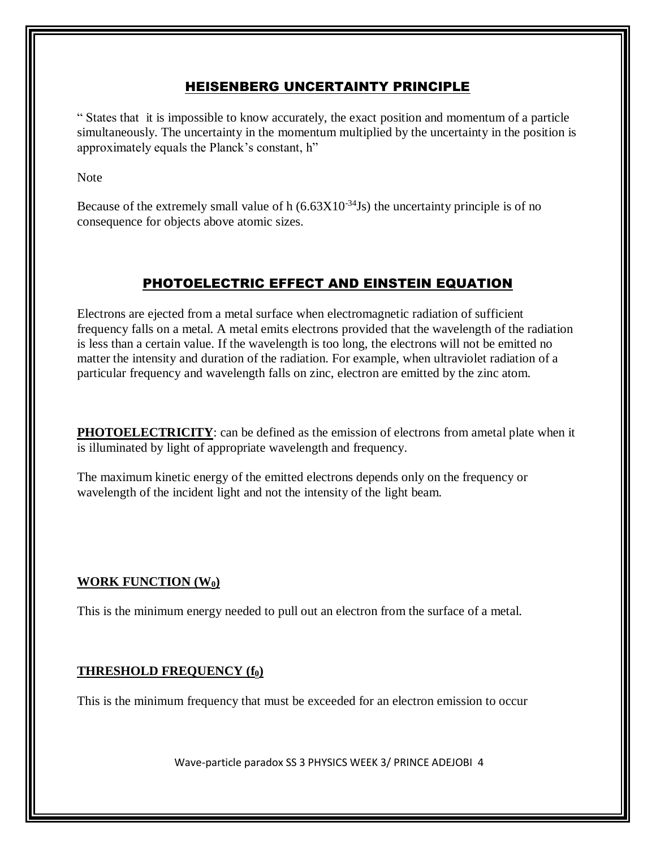# HEISENBERG UNCERTAINTY PRINCIPLE

" States that it is impossible to know accurately, the exact position and momentum of a particle simultaneously. The uncertainty in the momentum multiplied by the uncertainty in the position is approximately equals the Planck's constant, h"

Note

Because of the extremely small value of h  $(6.63X10^{-34}$ Js) the uncertainty principle is of no consequence for objects above atomic sizes.

# PHOTOELECTRIC EFFECT AND EINSTEIN EQUATION

Electrons are ejected from a metal surface when electromagnetic radiation of sufficient frequency falls on a metal. A metal emits electrons provided that the wavelength of the radiation is less than a certain value. If the wavelength is too long, the electrons will not be emitted no matter the intensity and duration of the radiation. For example, when ultraviolet radiation of a particular frequency and wavelength falls on zinc, electron are emitted by the zinc atom.

**PHOTOELECTRICITY**: can be defined as the emission of electrons from ametal plate when it is illuminated by light of appropriate wavelength and frequency.

The maximum kinetic energy of the emitted electrons depends only on the frequency or wavelength of the incident light and not the intensity of the light beam.

# **WORK FUNCTION (W0)**

This is the minimum energy needed to pull out an electron from the surface of a metal.

# **THRESHOLD FREQUENCY (f0)**

This is the minimum frequency that must be exceeded for an electron emission to occur